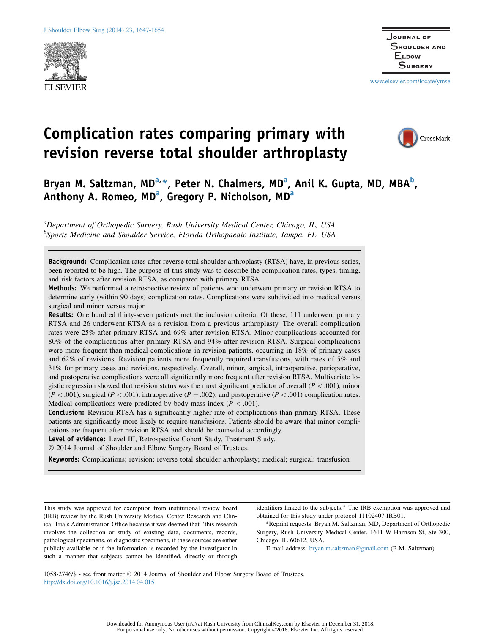

www.elsevier.com/locate/ymse

CrossMark

# Complication rates comparing primary with revision reverse total shoulder arthroplasty

Bryan M. Saltzman, MD<sup>a,</sup>\*, Peter N. Chalmers, MD<sup>a</sup>, Anil K. Gupta, MD, MBA<sup>b</sup>, Anthony A. Romeo, MD<sup>a</sup>, Gregory P. Nicholson, MD<sup>a</sup>

<sup>a</sup>Department of Orthopedic Surgery, Rush University Medical Center, Chicago, IL, USA <sup>b</sup>Sports Medicine and Shoulder Service, Florida Orthopaedic Institute, Tampa, FL, USA

Background: Complication rates after reverse total shoulder arthroplasty (RTSA) have, in previous series, been reported to be high. The purpose of this study was to describe the complication rates, types, timing, and risk factors after revision RTSA, as compared with primary RTSA.

Methods: We performed a retrospective review of patients who underwent primary or revision RTSA to determine early (within 90 days) complication rates. Complications were subdivided into medical versus surgical and minor versus major.

Results: One hundred thirty-seven patients met the inclusion criteria. Of these, 111 underwent primary RTSA and 26 underwent RTSA as a revision from a previous arthroplasty. The overall complication rates were 25% after primary RTSA and 69% after revision RTSA. Minor complications accounted for 80% of the complications after primary RTSA and 94% after revision RTSA. Surgical complications were more frequent than medical complications in revision patients, occurring in 18% of primary cases and 62% of revisions. Revision patients more frequently required transfusions, with rates of 5% and 31% for primary cases and revisions, respectively. Overall, minor, surgical, intraoperative, perioperative, and postoperative complications were all significantly more frequent after revision RTSA. Multivariate logistic regression showed that revision status was the most significant predictor of overall ( $P < .001$ ), minor  $(P < .001)$ , surgical  $(P < .001)$ , intraoperative  $(P = .002)$ , and postoperative  $(P < .001)$  complication rates. Medical complications were predicted by body mass index ( $P < .001$ ).

Conclusion: Revision RTSA has a significantly higher rate of complications than primary RTSA. These patients are significantly more likely to require transfusions. Patients should be aware that minor complications are frequent after revision RTSA and should be counseled accordingly.

Level of evidence: Level III, Retrospective Cohort Study, Treatment Study.

2014 Journal of Shoulder and Elbow Surgery Board of Trustees.

Keywords: Complications; revision; reverse total shoulder arthroplasty; medical; surgical; transfusion

This study was approved for exemption from institutional review board (IRB) review by the Rush University Medical Center Research and Clinical Trials Administration Office because it was deemed that ''this research involves the collection or study of existing data, documents, records, pathological specimens, or diagnostic specimens, if these sources are either publicly available or if the information is recorded by the investigator in such a manner that subjects cannot be identified, directly or through

identifiers linked to the subjects.'' The IRB exemption was approved and obtained for this study under protocol 11102407-IRB01.

\*Reprint requests: Bryan M. Saltzman, MD, Department of Orthopedic Surgery, Rush University Medical Center, 1611 W Harrison St, Ste 300, Chicago, IL 60612, USA.

E-mail address: bryan.m.saltzman@gmail.com (B.M. Saltzman)

1058-2746/\$ - see front matter 2014 Journal of Shoulder and Elbow Surgery Board of Trustees. http://dx.doi.org/10.1016/j.jse.2014.04.015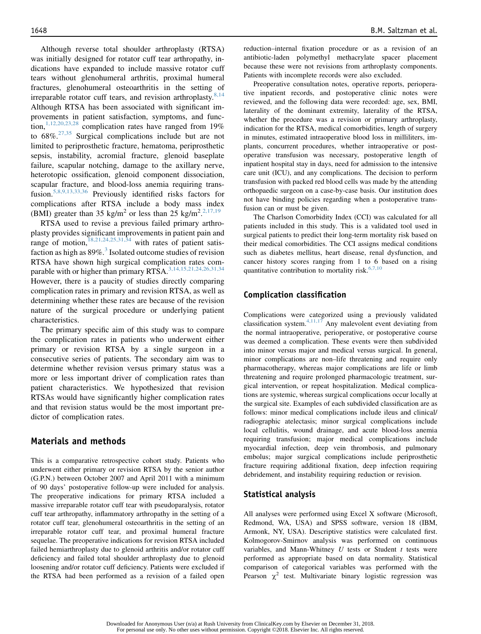Although reverse total shoulder arthroplasty (RTSA) was initially designed for rotator cuff tear arthropathy, indications have expanded to include massive rotator cuff tears without glenohumeral arthritis, proximal humeral fractures, glenohumeral osteoarthritis in the setting of irreparable rotator cuff tears, and revision arthroplasty. $8,14$ Although RTSA has been associated with significant improvements in patient satisfaction, symptoms, and function,<sup>1,12,20,23,28</sup> complication rates have ranged from 19% to  $68\%$ <sup>27,35</sup> Surgical complications include but are not limited to periprosthetic fracture, hematoma, periprosthetic sepsis, instability, acromial fracture, glenoid baseplate failure, scapular notching, damage to the axillary nerve, heterotopic ossification, glenoid component dissociation, scapular fracture, and blood-loss anemia requiring transfusion.5,8,9,13,33,36 Previously identified risks factors for complications after RTSA include a body mass index (BMI) greater than 35 kg/m<sup>2</sup> or less than 25 kg/m<sup>2</sup>.<sup>2,17,19</sup>

RTSA used to revise a previous failed primary arthroplasty provides significant improvements in patient pain and range of motion,  $18,21,24,25,31,34$  with rates of patient satisfaction as high as  $89\%$ <sup>3</sup>. Isolated outcome studies of revision RTSA have shown high surgical complication rates comparable with or higher than primary RTSA.<sup>3,14,15,21,24,26,31,34</sup> However, there is a paucity of studies directly comparing complication rates in primary and revision RTSA, as well as determining whether these rates are because of the revision nature of the surgical procedure or underlying patient characteristics.

The primary specific aim of this study was to compare the complication rates in patients who underwent either primary or revision RTSA by a single surgeon in a consecutive series of patients. The secondary aim was to determine whether revision versus primary status was a more or less important driver of complication rates than patient characteristics. We hypothesized that revision RTSAs would have significantly higher complication rates and that revision status would be the most important predictor of complication rates.

### Materials and methods

This is a comparative retrospective cohort study. Patients who underwent either primary or revision RTSA by the senior author (G.P.N.) between October 2007 and April 2011 with a minimum of 90 days' postoperative follow-up were included for analysis. The preoperative indications for primary RTSA included a massive irreparable rotator cuff tear with pseudoparalysis, rotator cuff tear arthropathy, inflammatory arthropathy in the setting of a rotator cuff tear, glenohumeral osteoarthritis in the setting of an irreparable rotator cuff tear, and proximal humeral fracture sequelae. The preoperative indications for revision RTSA included failed hemiarthroplasty due to glenoid arthritis and/or rotator cuff deficiency and failed total shoulder arthroplasty due to glenoid loosening and/or rotator cuff deficiency. Patients were excluded if the RTSA had been performed as a revision of a failed open reduction–internal fixation procedure or as a revision of an antibiotic-laden polymethyl methacrylate spacer placement because these were not revisions from arthroplasty components. Patients with incomplete records were also excluded.

Preoperative consultation notes, operative reports, perioperative inpatient records, and postoperative clinic notes were reviewed, and the following data were recorded: age, sex, BMI, laterality of the dominant extremity, laterality of the RTSA, whether the procedure was a revision or primary arthroplasty, indication for the RTSA, medical comorbidities, length of surgery in minutes, estimated intraoperative blood loss in milliliters, implants, concurrent procedures, whether intraoperative or postoperative transfusion was necessary, postoperative length of inpatient hospital stay in days, need for admission to the intensive care unit (ICU), and any complications. The decision to perform transfusion with packed red blood cells was made by the attending orthopaedic surgeon on a case-by-case basis. Our institution does not have binding policies regarding when a postoperative transfusion can or must be given.

The Charlson Comorbidity Index (CCI) was calculated for all patients included in this study. This is a validated tool used in surgical patients to predict their long-term mortality risk based on their medical comorbidities. The CCI assigns medical conditions such as diabetes mellitus, heart disease, renal dysfunction, and cancer history scores ranging from 1 to 6 based on a rising quantitative contribution to mortality risk. $6,7,10$ 

#### Complication classification

Complications were categorized using a previously validated classification system. $4,11,17$  Any malevolent event deviating from the normal intraoperative, perioperative, or postoperative course was deemed a complication. These events were then subdivided into minor versus major and medical versus surgical. In general, minor complications are non–life threatening and require only pharmacotherapy, whereas major complications are life or limb threatening and require prolonged pharmacologic treatment, surgical intervention, or repeat hospitalization. Medical complications are systemic, whereas surgical complications occur locally at the surgical site. Examples of each subdivided classification are as follows: minor medical complications include ileus and clinical/ radiographic atelectasis; minor surgical complications include local cellulitis, wound drainage, and acute blood-loss anemia requiring transfusion; major medical complications include myocardial infection, deep vein thrombosis, and pulmonary embolus; major surgical complications include periprosthetic fracture requiring additional fixation, deep infection requiring debridement, and instability requiring reduction or revision.

## Statistical analysis

All analyses were performed using Excel X software (Microsoft, Redmond, WA, USA) and SPSS software, version 18 (IBM, Armonk, NY, USA). Descriptive statistics were calculated first. Kolmogorov-Smirnov analysis was performed on continuous variables, and Mann-Whitney  $U$  tests or Student  $t$  tests were performed as appropriate based on data normality. Statistical comparison of categorical variables was performed with the Pearson  $\chi^2$  test. Multivariate binary logistic regression was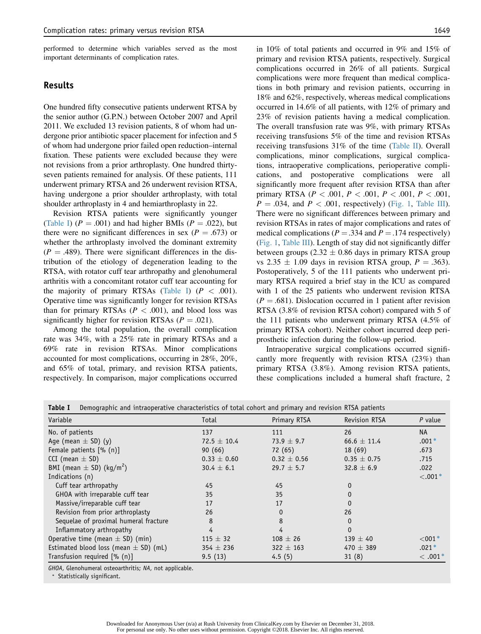performed to determine which variables served as the most important determinants of complication rates.

## Results

One hundred fifty consecutive patients underwent RTSA by the senior author (G.P.N.) between October 2007 and April 2011. We excluded 13 revision patients, 8 of whom had undergone prior antibiotic spacer placement for infection and 5 of whom had undergone prior failed open reduction–internal fixation. These patients were excluded because they were not revisions from a prior arthroplasty. One hundred thirtyseven patients remained for analysis. Of these patients, 111 underwent primary RTSA and 26 underwent revision RTSA, having undergone a prior shoulder arthroplasty, with total shoulder arthroplasty in 4 and hemiarthroplasty in 22.

Revision RTSA patients were significantly younger (Table I)  $(P = .001)$  and had higher BMIs  $(P = .022)$ , but there were no significant differences in sex ( $P = .673$ ) or whether the arthroplasty involved the dominant extremity  $(P = .489)$ . There were significant differences in the distribution of the etiology of degeneration leading to the RTSA, with rotator cuff tear arthropathy and glenohumeral arthritis with a concomitant rotator cuff tear accounting for the majority of primary RTSAs (Table I)  $(P < .001)$ . Operative time was significantly longer for revision RTSAs than for primary RTSAs ( $P < .001$ ), and blood loss was significantly higher for revision RTSAs ( $P = .021$ ).

Among the total population, the overall complication rate was 34%, with a 25% rate in primary RTSAs and a 69% rate in revision RTSAs. Minor complications accounted for most complications, occurring in 28%, 20%, and 65% of total, primary, and revision RTSA patients, respectively. In comparison, major complications occurred in 10% of total patients and occurred in 9% and 15% of primary and revision RTSA patients, respectively. Surgical complications occurred in 26% of all patients. Surgical complications were more frequent than medical complications in both primary and revision patients, occurring in 18% and 62%, respectively, whereas medical complications occurred in 14.6% of all patients, with 12% of primary and 23% of revision patients having a medical complication. The overall transfusion rate was 9%, with primary RTSAs receiving transfusions 5% of the time and revision RTSAs receiving transfusions 31% of the time (Table II). Overall complications, minor complications, surgical complications, intraoperative complications, perioperative complications, and postoperative complications were all significantly more frequent after revision RTSA than after primary RTSA ( $P < .001$ ,  $P < .001$ ,  $P < .001$ ,  $P < .001$ ,  $P = .034$ , and  $P < .001$ , respectively) (Fig. 1, Table III). There were no significant differences between primary and revision RTSAs in rates of major complications and rates of medical complications ( $P = .334$  and  $P = .174$  respectively) (Fig. 1, Table III). Length of stay did not significantly differ between groups  $(2.32 \pm 0.86)$  days in primary RTSA group vs  $2.35 \pm 1.09$  days in revision RTSA group,  $P = .363$ ). Postoperatively, 5 of the 111 patients who underwent primary RTSA required a brief stay in the ICU as compared with 1 of the 25 patients who underwent revision RTSA  $(P = .681)$ . Dislocation occurred in 1 patient after revision RTSA (3.8% of revision RTSA cohort) compared with 5 of the 111 patients who underwent primary RTSA (4.5% of primary RTSA cohort). Neither cohort incurred deep periprosthetic infection during the follow-up period.

Intraoperative surgical complications occurred significantly more frequently with revision RTSA (23%) than primary RTSA (3.8%). Among revision RTSA patients, these complications included a humeral shaft fracture, 2

| Demographic and intraoperative characteristics of total cohort and primary and revision RTSA patients<br>Table I |                 |                 |                      |             |  |  |
|------------------------------------------------------------------------------------------------------------------|-----------------|-----------------|----------------------|-------------|--|--|
| Variable                                                                                                         | Total           | Primary RTSA    | <b>Revision RTSA</b> | $P$ value   |  |  |
| No. of patients                                                                                                  | 137             | 111             | 26                   | <b>NA</b>   |  |  |
| Age (mean $\pm$ SD) (y)                                                                                          | $72.5 \pm 10.4$ | 73.9 $\pm$ 9.7  | $66.6 \pm 11.4$      | $.001*$     |  |  |
| Female patients [% (n)]                                                                                          | 90(66)          | 72 (65)         | 18(69)               | .673        |  |  |
| CCI (mean $\pm$ SD)                                                                                              | $0.33 \pm 0.60$ | $0.32 \pm 0.56$ | $0.35 \pm 0.75$      | .715        |  |  |
| BMI (mean $\pm$ SD) (kg/m <sup>2</sup> )                                                                         | $30.4 \pm 6.1$  | $29.7 \pm 5.7$  | 32.8 $\pm$ 6.9       | .022        |  |  |
| Indications (n)                                                                                                  |                 |                 |                      | $< .001*$   |  |  |
| Cuff tear arthropathy                                                                                            | 45              | 45              | $\Omega$             |             |  |  |
| GHOA with irreparable cuff tear                                                                                  | 35              | 35              | $\Omega$             |             |  |  |
| Massive/irreparable cuff tear                                                                                    | 17              | 17              | $\Omega$             |             |  |  |
| Revision from prior arthroplasty                                                                                 | 26              | $\Omega$        | 26                   |             |  |  |
| Sequelae of proximal humeral fracture                                                                            | 8               | 8               | $\Omega$             |             |  |  |
| Inflammatory arthropathy                                                                                         | 4               | 4               | $\mathbf{0}$         |             |  |  |
| Operative time (mean $\pm$ SD) (min)                                                                             | $115 \pm 32$    | $108 \pm 26$    | $139 \pm 40$         | $<$ 001 $*$ |  |  |
| Estimated blood loss (mean $\pm$ SD) (mL)                                                                        | $354 \pm 236$   | $322 \pm 163$   | 470 $\pm$ 389        | $.021*$     |  |  |
| Transfusion required [% (n)]                                                                                     | 9.5(13)         | 4.5(5)          | 31(8)                | $<.001*$    |  |  |

GHOA, Glenohumeral osteoarthritis; NA, not applicable.

) Statistically significant.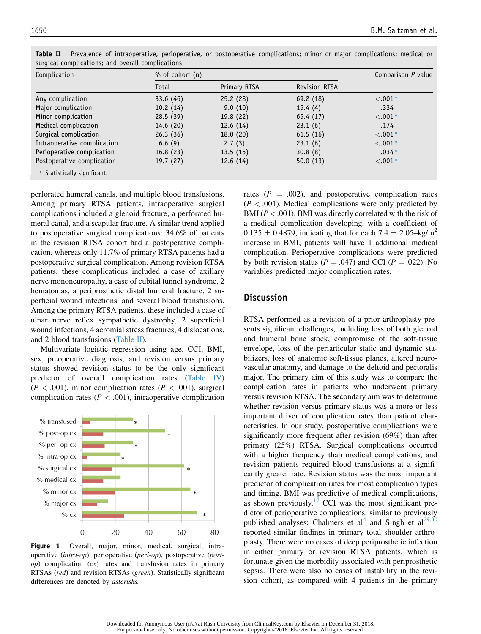| Complication                | $%$ of cohort $(n)$ | Comparison P value |                      |           |
|-----------------------------|---------------------|--------------------|----------------------|-----------|
|                             | Total               | Primary RTSA       | <b>Revision RTSA</b> |           |
| Any complication            | 33.6(46)            | 25.2(28)           | 69.2(18)             | $< .001*$ |
| Major complication          | 10.2(14)            | 9.0(10)            | 15.4(4)              | .334      |
| Minor complication          | 28.5(39)            | 19.8(22)           | 65.4(17)             | $< .001*$ |
| Medical complication        | 14.6(20)            | 12.6(14)           | 23.1(6)              | .174      |
| Surgical complication       | 26.3(36)            | 18.0(20)           | 61.5(16)             | $< .001*$ |
| Intraoperative complication | 6.6(9)              | 2.7(3)             | 23.1(6)              | $< .001*$ |
| Perioperative complication  | 16.8(23)            | 13.5(15)           | 30.8(8)              | $.034*$   |
| Postoperative complication  | 19.7(27)            | 12.6(14)           | 50.0(13)             | $-.001*$  |

Table II Prevalence of intraoperative, perioperative, or postoperative complications; minor or major complications; medical or surgical complications; and overall complications

) Statistically significant.

perforated humeral canals, and multiple blood transfusions. Among primary RTSA patients, intraoperative surgical complications included a glenoid fracture, a perforated humeral canal, and a scapular fracture. A similar trend applied to postoperative surgical complications: 34.6% of patients in the revision RTSA cohort had a postoperative complication, whereas only 11.7% of primary RTSA patients had a postoperative surgical complication. Among revision RTSA patients, these complications included a case of axillary nerve mononeuropathy, a case of cubital tunnel syndrome, 2 hematomas, a periprosthetic distal humeral fracture, 2 superficial wound infections, and several blood transfusions. Among the primary RTSA patients, these included a case of ulnar nerve reflex sympathetic dystrophy, 2 superficial wound infections, 4 acromial stress fractures, 4 dislocations, and 2 blood transfusions (Table II).

Multivariate logistic regression using age, CCI, BMI, sex, preoperative diagnosis, and revision versus primary status showed revision status to be the only significant predictor of overall complication rates (Table IV)  $(P < .001)$ , minor complication rates  $(P < .001)$ , surgical complication rates ( $P < .001$ ), intraoperative complication



Figure 1 Overall, major, minor, medical, surgical, intraoperative (intra-op), perioperative (peri-op), postoperative (post $op$ ) complication  $(cx)$  rates and transfusion rates in primary RTSAs (red) and revision RTSAs (green). Statistically significant differences are denoted by asterisks.

rates  $(P = .002)$ , and postoperative complication rates  $(P < .001)$ . Medical complications were only predicted by BMI ( $P < .001$ ). BMI was directly correlated with the risk of a medical complication developing, with a coefficient of  $0.135 \pm 0.4879$ , indicating that for each  $7.4 \pm 2.05 - \text{kg/m}^2$ increase in BMI, patients will have 1 additional medical complication. Perioperative complications were predicted by both revision status ( $P = .047$ ) and CCI ( $P = .022$ ). No variables predicted major complication rates.

### Discussion

RTSA performed as a revision of a prior arthroplasty presents significant challenges, including loss of both glenoid and humeral bone stock, compromise of the soft-tissue envelope, loss of the periarticular static and dynamic stabilizers, loss of anatomic soft-tissue planes, altered neurovascular anatomy, and damage to the deltoid and pectoralis major. The primary aim of this study was to compare the complication rates in patients who underwent primary versus revision RTSA. The secondary aim was to determine whether revision versus primary status was a more or less important driver of complication rates than patient characteristics. In our study, postoperative complications were significantly more frequent after revision (69%) than after primary (25%) RTSA. Surgical complications occurred with a higher frequency than medical complications, and revision patients required blood transfusions at a significantly greater rate. Revision status was the most important predictor of complication rates for most complication types and timing. BMI was predictive of medical complications, as shown previously.<sup>17</sup> CCI was the most significant predictor of perioperative complications, similar to previously published analyses: Chalmers et  $al<sup>4</sup>$  and Singh et  $al<sup>29,30</sup>$ reported similar findings in primary total shoulder arthroplasty. There were no cases of deep periprosthetic infection in either primary or revision RTSA patients, which is fortunate given the morbidity associated with periprosthetic sepsis. There were also no cases of instability in the revision cohort, as compared with 4 patients in the primary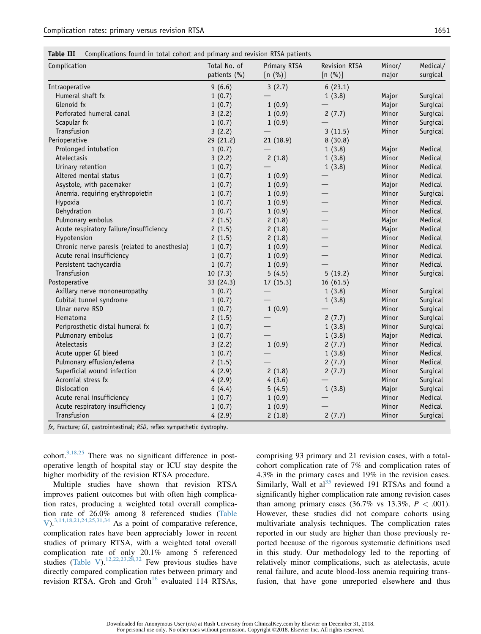Table III Complications found in total cohort and primary and revision RTSA patients

| Complication                                  | Total No. of<br>patients (%) | Primary RTSA<br>$[n (\%)]$ | Revision RTSA<br>$[n (\%)]$ | Minor/<br>major | Medical/<br>surgical |
|-----------------------------------------------|------------------------------|----------------------------|-----------------------------|-----------------|----------------------|
| Intraoperative                                | 9(6.6)                       | 3(2.7)                     | 6(23.1)                     |                 |                      |
| Humeral shaft fx                              | 1(0.7)                       |                            | 1(3.8)                      | Major           | Surgical             |
| Glenoid fx                                    | 1(0.7)                       | 1(0.9)                     |                             | Major           | Surgical             |
| Perforated humeral canal                      | 3(2.2)                       | 1(0.9)                     | 2(7.7)                      | Minor           | Surgical             |
| Scapular fx                                   | 1(0.7)                       | 1(0.9)                     |                             | Minor           | Surgical             |
| Transfusion                                   | 3(2.2)                       |                            | 3(11.5)                     | Minor           | Surgical             |
| Perioperative                                 | 29 (21.2)                    | 21 (18.9)                  | 8(30.8)                     |                 |                      |
| Prolonged intubation                          | 1(0.7)                       |                            | 1(3.8)                      | Major           | Medical              |
| Atelectasis                                   | 3(2.2)                       | 2(1.8)                     | 1(3.8)                      | Minor           | Medical              |
| Urinary retention                             | 1(0.7)                       |                            | 1(3.8)                      | Minor           | Medical              |
| Altered mental status                         | 1(0.7)                       | 1(0.9)                     |                             | Minor           | Medical              |
| Asystole, with pacemaker                      | 1(0.7)                       | 1(0.9)                     |                             | Major           | Medical              |
| Anemia, requiring erythropoietin              | 1(0.7)                       | 1(0.9)                     |                             | Minor           | Surgical             |
| Hypoxia                                       | 1(0.7)                       | 1(0.9)                     |                             | Minor           | Medical              |
| Dehydration                                   | 1(0.7)                       | 1(0.9)                     |                             | Minor           | Medical              |
| Pulmonary embolus                             | 2(1.5)                       | 2(1.8)                     |                             | Major           | Medical              |
| Acute respiratory failure/insufficiency       | 2(1.5)                       | 2(1.8)                     |                             | Major           | Medical              |
| Hypotension                                   | 2(1.5)                       | 2(1.8)                     |                             | Minor           | Medical              |
| Chronic nerve paresis (related to anesthesia) | 1(0.7)                       | 1(0.9)                     |                             | Minor           | Medical              |
| Acute renal insufficiency                     | 1(0.7)                       | 1(0.9)                     |                             | Minor           | Medical              |
| Persistent tachycardia                        | 1(0.7)                       | 1(0.9)                     |                             | Minor           | Medical              |
| Transfusion                                   | 10(7.3)                      | 5(4.5)                     | 5(19.2)                     | Minor           | Surgical             |
| Postoperative                                 | 33 (24.3)                    | 17(15.3)                   | 16(61.5)                    |                 |                      |
| Axillary nerve mononeuropathy                 | 1(0.7)                       |                            | 1(3.8)                      | Minor           | Surgical             |
| Cubital tunnel syndrome                       | 1(0.7)                       |                            | 1(3.8)                      | Minor           | Surgical             |
| Ulnar nerve RSD                               | 1(0.7)                       | 1(0.9)                     |                             | Minor           | Surgical             |
| Hematoma                                      | 2(1.5)                       |                            | 2(7.7)                      | Minor           | Surgical             |
| Periprosthetic distal humeral fx              | 1(0.7)                       |                            | 1(3.8)                      | Minor           | Surgical             |
| Pulmonary embolus                             | 1(0.7)                       |                            | 1(3.8)                      | Major           | Medical              |
| Atelectasis                                   | 3(2.2)                       | 1(0.9)                     | 2(7.7)                      | Minor           | Medical              |
| Acute upper GI bleed                          | 1(0.7)                       |                            | 1(3.8)                      | Minor           | Medical              |
| Pulmonary effusion/edema                      | 2(1.5)                       |                            | 2(7.7)                      | Minor           | Medical              |
| Superficial wound infection                   | 4(2.9)                       | 2(1.8)                     | 2(7.7)                      | Minor           | Surgical             |
| Acromial stress fx                            | 4(2.9)                       | 4(3.6)                     |                             | Minor           | Surgical             |
| Dislocation                                   | 6(4.4)                       | 5(4.5)                     | 1(3.8)                      | Major           | Surgical             |
| Acute renal insufficiency                     | 1(0.7)                       | 1(0.9)                     |                             | Minor           | Medical              |
| Acute respiratory insufficiency               | 1(0.7)                       | 1(0.9)                     |                             | Minor           | Medical              |
| Transfusion                                   | 4(2.9)                       | 2(1.8)                     | 2(7.7)                      | Minor           | Surgical             |

fx, Fracture; GI, gastrointestinal; RSD, reflex sympathetic dystrophy.

cohort.<sup>3,18,25</sup> There was no significant difference in postoperative length of hospital stay or ICU stay despite the higher morbidity of the revision RTSA procedure.

Multiple studies have shown that revision RTSA improves patient outcomes but with often high complication rates, producing a weighted total overall complication rate of 26.0% among 8 referenced studies (Table V).3,14,18,21,24,25,31,34 As a point of comparative reference, complication rates have been appreciably lower in recent studies of primary RTSA, with a weighted total overall complication rate of only 20.1% among 5 referenced studies (Table V).<sup>12,22,23,28,32</sup> Few previous studies have directly compared complication rates between primary and revision RTSA. Groh and Groh<sup>16</sup> evaluated 114 RTSAs, comprising 93 primary and 21 revision cases, with a totalcohort complication rate of 7% and complication rates of 4.3% in the primary cases and 19% in the revision cases. Similarly, Wall et  $al<sup>35</sup>$  reviewed 191 RTSAs and found a significantly higher complication rate among revision cases than among primary cases  $(36.7\% \text{ vs } 13.3\%, P < .001)$ . However, these studies did not compare cohorts using multivariate analysis techniques. The complication rates reported in our study are higher than those previously reported because of the rigorous systematic definitions used in this study. Our methodology led to the reporting of relatively minor complications, such as atelectasis, acute renal failure, and acute blood-loss anemia requiring transfusion, that have gone unreported elsewhere and thus

For personal use only. No other uses without permission. Copyright ©2018. Elsevier Inc. All rights reserved.

Downloaded for Anonymous User (n/a) at Rush University from ClinicalKey.com by Elsevier on December 31, 2018.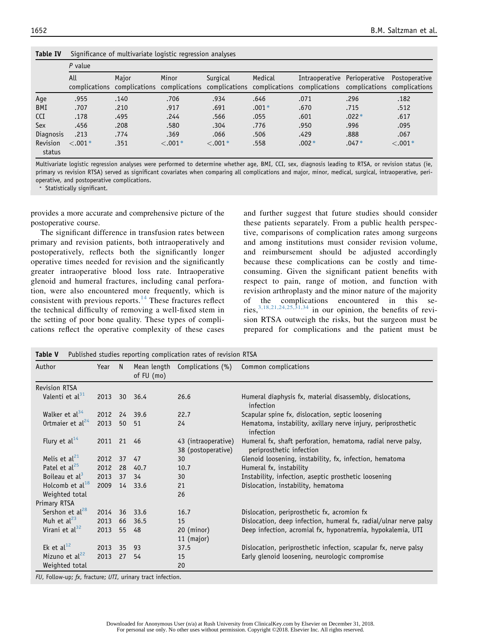| <b>Table IV</b> | Significance of multivariate logistic regression analyses |  |  |  |
|-----------------|-----------------------------------------------------------|--|--|--|
|                 |                                                           |  |  |  |

|                    | $P$ value |       |          |           |         |                                                                                                                                                 |         |               |
|--------------------|-----------|-------|----------|-----------|---------|-------------------------------------------------------------------------------------------------------------------------------------------------|---------|---------------|
|                    | All       | Maior | Minor    | Surgical  | Medical | Intraoperative Perioperative<br>complications complications complications complications complications complications complications complications |         | Postoperative |
| Age                | .955      | .140  | .706     | .934      | .646    | .071                                                                                                                                            | .296    | .182          |
| BMI                | .707      | .210  | .917     | .691      | $.001*$ | .670                                                                                                                                            | .715    | .512          |
| <b>CCI</b>         | .178      | .495  | .244     | .566      | .055    | .601                                                                                                                                            | $.022*$ | .617          |
| Sex                | .456      | .208  | .580     | .304      | .776    | .950                                                                                                                                            | .996    | .095          |
| Diagnosis          | .213      | .774  | .369     | .066      | .506    | .429                                                                                                                                            | .888    | .067          |
| Revision<br>status | $< .001*$ | .351  | $-.001*$ | $< .001*$ | .558    | $.002*$                                                                                                                                         | $.047*$ | $< .001*$     |

Multivariate logistic regression analyses were performed to determine whether age, BMI, CCI, sex, diagnosis leading to RTSA, or revision status (ie, primary vs revision RTSA) served as significant covariates when comparing all complications and major, minor, medical, surgical, intraoperative, perioperative, and postoperative complications.

) Statistically significant.

provides a more accurate and comprehensive picture of the postoperative course.

The significant difference in transfusion rates between primary and revision patients, both intraoperatively and postoperatively, reflects both the significantly longer operative times needed for revision and the significantly greater intraoperative blood loss rate. Intraoperative glenoid and humeral fractures, including canal perforation, were also encountered more frequently, which is consistent with previous reports. $14$  These fractures reflect the technical difficulty of removing a well-fixed stem in the setting of poor bone quality. These types of complications reflect the operative complexity of these cases and further suggest that future studies should consider these patients separately. From a public health perspective, comparisons of complication rates among surgeons and among institutions must consider revision volume, and reimbursement should be adjusted accordingly because these complications can be costly and timeconsuming. Given the significant patient benefits with respect to pain, range of motion, and function with revision arthroplasty and the minor nature of the majority of the complications encountered in this series,  $3,18,21,24,25,31,34$  in our opinion, the benefits of revision RTSA outweigh the risks, but the surgeon must be prepared for complications and the patient must be

| Author                                       | Year         | N  | of FU (mo) | Mean length Complications (%)             | Common complications                                                                     |
|----------------------------------------------|--------------|----|------------|-------------------------------------------|------------------------------------------------------------------------------------------|
| <b>Revision RTSA</b>                         |              |    |            |                                           |                                                                                          |
| Valenti et al <sup>31</sup>                  | 2013 30 36.4 |    |            | 26.6                                      | Humeral diaphysis fx, material disassembly, dislocations,<br>infection                   |
| Walker et al <sup>34</sup>                   | 2012         |    | 24 39.6    | 22.7                                      | Scapular spine fx, dislocation, septic loosening                                         |
| Ortmaier et $al24$                           | 2013         |    | 50 51      | 24                                        | Hematoma, instability, axillary nerve injury, periprosthetic<br>infection                |
| Flury et $al^{14}$                           | 2011 21 46   |    |            | 43 (intraoperative)<br>38 (postoperative) | Humeral fx, shaft perforation, hematoma, radial nerve palsy,<br>periprosthetic infection |
| Melis et al <sup>21</sup>                    | 2012         | 37 | 47         | 30                                        | Glenoid loosening, instability, fx, infection, hematoma                                  |
| Patel et al <sup>25</sup>                    | 2012         | 28 | 40.7       | 10.7                                      | Humeral fx, instability                                                                  |
| Boileau et $al3$                             | 2013         | 37 | - 34       | 30                                        | Instability, infection, aseptic prosthetic loosening                                     |
| Holcomb et $al^{18}$                         | 2009         |    | 14 33.6    | 21                                        | Dislocation, instability, hematoma                                                       |
| Weighted total                               |              |    |            | 26                                        |                                                                                          |
| Primary RTSA                                 |              |    |            |                                           |                                                                                          |
| Sershon et al <sup>28</sup>                  | 2014         | 36 | 33.6       | 16.7                                      | Dislocation, periprosthetic fx, acromion fx                                              |
| Muh et al $^{23}$                            | 2013         | 66 | 36.5       | 15                                        | Dislocation, deep infection, humeral fx, radial/ulnar nerve palsy                        |
| Virani et al <sup>32</sup>                   | 2013         | 55 | -48        | $20$ (minor)                              | Deep infection, acromial fx, hyponatremia, hypokalemia, UTI                              |
|                                              |              |    |            | 11 (major)                                |                                                                                          |
| Ek et al $^{12}$                             | 2013         | 35 | 93         | 37.5                                      | Dislocation, periprosthetic infection, scapular fx, nerve palsy                          |
| Mizuno et al <sup>22</sup><br>Weighted total | 2013         | 27 | 54         | 15<br>20                                  | Early glenoid loosening, neurologic compromise                                           |

FU, Follow-up; fx, fracture; UTI, urinary tract infection.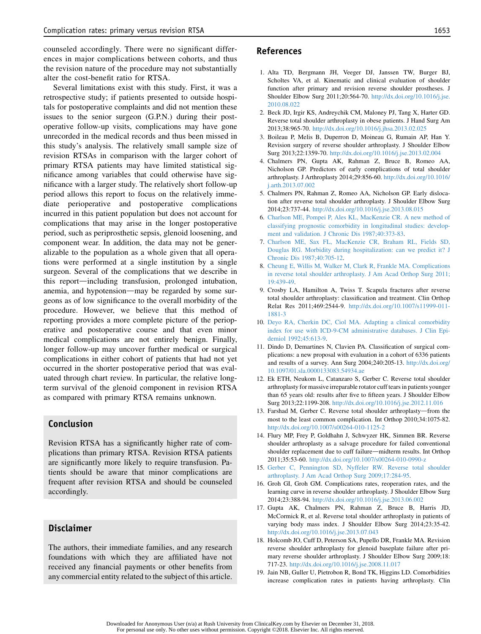counseled accordingly. There were no significant differences in major complications between cohorts, and thus the revision nature of the procedure may not substantially alter the cost-benefit ratio for RTSA.

Several limitations exist with this study. First, it was a retrospective study; if patients presented to outside hospitals for postoperative complaints and did not mention these issues to the senior surgeon (G.P.N.) during their postoperative follow-up visits, complications may have gone unrecorded in the medical records and thus been missed in this study's analysis. The relatively small sample size of revision RTSAs in comparison with the larger cohort of primary RTSA patients may have limited statistical significance among variables that could otherwise have significance with a larger study. The relatively short follow-up period allows this report to focus on the relatively immediate perioperative and postoperative complications incurred in this patient population but does not account for complications that may arise in the longer postoperative period, such as periprosthetic sepsis, glenoid loosening, and component wear. In addition, the data may not be generalizable to the population as a whole given that all operations were performed at a single institution by a single surgeon. Several of the complications that we describe in this report—including transfusion, prolonged intubation, anemia, and hypotension—may be regarded by some surgeons as of low significance to the overall morbidity of the procedure. However, we believe that this method of reporting provides a more complete picture of the perioperative and postoperative course and that even minor medical complications are not entirely benign. Finally, longer follow-up may uncover further medical or surgical complications in either cohort of patients that had not yet occurred in the shorter postoperative period that was evaluated through chart review. In particular, the relative longterm survival of the glenoid component in revision RTSA as compared with primary RTSA remains unknown.

# Conclusion

Revision RTSA has a significantly higher rate of complications than primary RTSA. Revision RTSA patients are significantly more likely to require transfusion. Patients should be aware that minor complications are frequent after revision RTSA and should be counseled accordingly.

## Disclaimer

The authors, their immediate families, and any research foundations with which they are affiliated have not received any financial payments or other benefits from any commercial entity related to the subject of this article.

# References

- 1. Alta TD, Bergmann JH, Veeger DJ, Janssen TW, Burger BJ, Scholtes VA, et al. Kinematic and clinical evaluation of shoulder function after primary and revision reverse shoulder prostheses. J Shoulder Elbow Surg 2011;20:564-70. http://dx.doi.org/10.1016/j.jse. 2010.08.022
- 2. Beck JD, Irgir KS, Andreychik CM, Maloney PJ, Tang X, Harter GD. Reverse total shoulder arthroplasty in obese patients. J Hand Surg Am 2013;38:965-70. http://dx.doi.org/10.1016/j.jhsa.2013.02.025
- 3. Boileau P, Melis B, Duperron D, Moineau G, Rumain AP, Han Y. Revision surgery of reverse shoulder arthroplasty. J Shoulder Elbow Surg 2013;22:1359-70. http://dx.doi.org/10.1016/j.jse.2013.02.004
- 4. Chalmers PN, Gupta AK, Rahman Z, Bruce B, Romeo AA, Nicholson GP. Predictors of early complications of total shoulder arthroplasty. J Arthroplasty 2014;29:856-60. http://dx.doi.org/10.1016/ j.arth.2013.07.002
- 5. Chalmers PN, Rahman Z, Romeo AA, Nicholson GP. Early dislocation after reverse total shoulder arthroplasty. J Shoulder Elbow Surg 2014;23:737-44. http://dx.doi.org/10.1016/j.jse.2013.08.015
- 6. Charlson ME, Pompei P, Ales KL, MacKenzie CR. A new method of classifying prognostic comorbidity in longitudinal studies: development and validation. J Chronic Dis 1987;40:373-83.
- 7. Charlson ME, Sax FL, MacKenzie CR, Braham RL, Fields SD, Douglas RG. Morbidity during hospitalization: can we predict it? J Chronic Dis 1987;40:705-12.
- 8. Cheung E, Willis M, Walker M, Clark R, Frankle MA. Complications in reverse total shoulder arthroplasty. J Am Acad Orthop Surg 2011; 19:439-49.
- 9. Crosby LA, Hamilton A, Twiss T. Scapula fractures after reverse total shoulder arthroplasty: classification and treatment. Clin Orthop Relat Res 2011;469:2544-9. http://dx.doi.org/10.1007/s11999-011- 1881-3
- 10. Deyo RA, Cherkin DC, Ciol MA. Adapting a clinical comorbidity index for use with ICD-9-CM administrative databases. J Clin Epidemiol 1992;45:613-9.
- 11. Dindo D, Demartines N, Clavien PA. Classification of surgical complications: a new proposal with evaluation in a cohort of 6336 patients and results of a survey. Ann Surg 2004;240:205-13. http://dx.doi.org/ 10.1097/01.sla.0000133083.54934.ae
- 12. Ek ETH, Neukom L, Catanzaro S, Gerber C. Reverse total shoulder arthroplasty for massive irreparable rotator cuff tears in patients younger than 65 years old: results after five to fifteen years. J Shoulder Elbow Surg 2013;22:1199-208. http://dx.doi.org/10.1016/j.jse.2012.11.016
- 13. Farshad M, Gerber C. Reverse total shoulder arthroplasty-from the most to the least common complication. Int Orthop 2010;34:1075-82. http://dx.doi.org/10.1007/s00264-010-1125-2
- 14. Flury MP, Frey P, Goldhahn J, Schwyzer HK, Simmen BR. Reverse shoulder arthroplasty as a salvage procedure for failed conventional shoulder replacement due to cuff failure-midterm results. Int Orthop 2011;35:53-60. http://dx.doi.org/10.1007/s00264-010-0990-z
- 15. Gerber C, Pennington SD, Nyffeler RW. Reverse total shoulder arthroplasty. J Am Acad Orthop Surg 2009;17:284-95.
- 16. Groh GI, Groh GM. Complications rates, reoperation rates, and the learning curve in reverse shoulder arthroplasty. J Shoulder Elbow Surg 2014;23:388-94. http://dx.doi.org/10.1016/j.jse.2013.06.002
- 17. Gupta AK, Chalmers PN, Rahman Z, Bruce B, Harris JD, McCormick R, et al. Reverse total shoulder arthroplasty in patients of varying body mass index. J Shoulder Elbow Surg 2014;23:35-42. http://dx.doi.org/10.1016/j.jse.2013.07.043
- 18. Holcomb JO, Cuff D, Peterson SA, Pupello DR, Frankle MA. Revision reverse shoulder arthroplasty for glenoid baseplate failure after primary reverse shoulder arthroplasty. J Shoulder Elbow Surg 2009;18: 717-23. http://dx.doi.org/10.1016/j.jse.2008.11.017
- 19. Jain NB, Guller U, Pietrobon R, Bond TK, Higgins LD. Comorbidities increase complication rates in patients having arthroplasty. Clin

Downloaded for Anonymous User (n/a) at Rush University from ClinicalKey.com by Elsevier on December 31, 2018. For personal use only. No other uses without permission. Copyright ©2018. Elsevier Inc. All rights reserved.